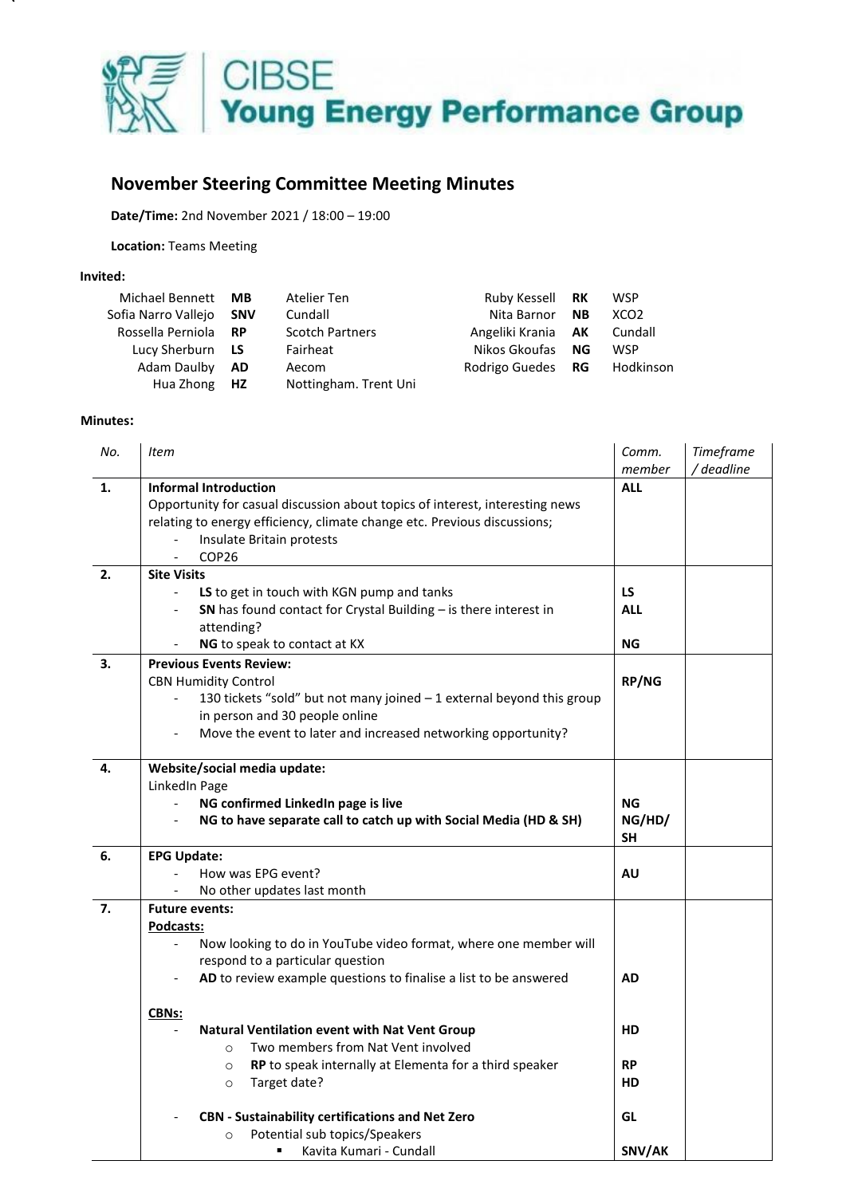

## **November Steering Committee Meeting Minutes**

**Date/Time:** 2nd November 2021 / 18:00 – 19:00

**Location:** Teams Meeting

## **Invited:**

| Michael Bennett MB      | Atelier Ten            | Ruby Kessell RK           | <b>WSP</b>       |
|-------------------------|------------------------|---------------------------|------------------|
| Sofia Narro Vallejo SNV | Cundall                | Nita Barnor <b>NB</b>     | XCO <sub>2</sub> |
| Rossella Perniola RP    | <b>Scotch Partners</b> | Angeliki Krania <b>AK</b> | Cundall          |
| Lucy Sherburn LS        | Fairheat               | Nikos Gkoufas NG          | <b>WSP</b>       |
| Adam Daulby <b>AD</b>   | Aecom                  | Rodrigo Guedes RG         | Hodkinson        |
| Hua Zhong HZ            | Nottingham. Trent Uni  |                           |                  |

## **Minutes:**

| No. | <b>Item</b>                                                                                                                                                                                                                                                                                                                                                                                                                                                                                                                             | Comm.<br>member                                        | Timeframe<br>/ deadline |
|-----|-----------------------------------------------------------------------------------------------------------------------------------------------------------------------------------------------------------------------------------------------------------------------------------------------------------------------------------------------------------------------------------------------------------------------------------------------------------------------------------------------------------------------------------------|--------------------------------------------------------|-------------------------|
| 1.  | <b>Informal Introduction</b><br>Opportunity for casual discussion about topics of interest, interesting news<br>relating to energy efficiency, climate change etc. Previous discussions;<br>Insulate Britain protests<br>COP <sub>26</sub>                                                                                                                                                                                                                                                                                              | <b>ALL</b>                                             |                         |
| 2.  | <b>Site Visits</b><br>LS to get in touch with KGN pump and tanks<br>SN has found contact for Crystal Building $-$ is there interest in<br>$\overline{\phantom{a}}$<br>attending?<br>NG to speak to contact at KX                                                                                                                                                                                                                                                                                                                        | LS.<br><b>ALL</b><br><b>NG</b>                         |                         |
| 3.  | <b>Previous Events Review:</b><br><b>CBN Humidity Control</b><br>130 tickets "sold" but not many joined - 1 external beyond this group<br>in person and 30 people online<br>Move the event to later and increased networking opportunity?                                                                                                                                                                                                                                                                                               | <b>RP/NG</b>                                           |                         |
| 4.  | Website/social media update:<br>LinkedIn Page<br>NG confirmed LinkedIn page is live<br>NG to have separate call to catch up with Social Media (HD & SH)<br>$\overline{\phantom{a}}$                                                                                                                                                                                                                                                                                                                                                     | <b>NG</b><br>NG/HD/<br><b>SH</b>                       |                         |
| 6.  | <b>EPG Update:</b><br>How was EPG event?<br>No other updates last month                                                                                                                                                                                                                                                                                                                                                                                                                                                                 | <b>AU</b>                                              |                         |
| 7.  | <b>Future events:</b><br>Podcasts:<br>Now looking to do in YouTube video format, where one member will<br>respond to a particular question<br>AD to review example questions to finalise a list to be answered<br><b>CBNs:</b><br>Natural Ventilation event with Nat Vent Group<br>Two members from Nat Vent involved<br>$\circ$<br>RP to speak internally at Elementa for a third speaker<br>$\circ$<br>Target date?<br>$\circ$<br><b>CBN - Sustainability certifications and Net Zero</b><br>Potential sub topics/Speakers<br>$\circ$ | <b>AD</b><br><b>HD</b><br><b>RP</b><br><b>HD</b><br>GL |                         |
|     | Kavita Kumari - Cundall                                                                                                                                                                                                                                                                                                                                                                                                                                                                                                                 | SNV/AK                                                 |                         |